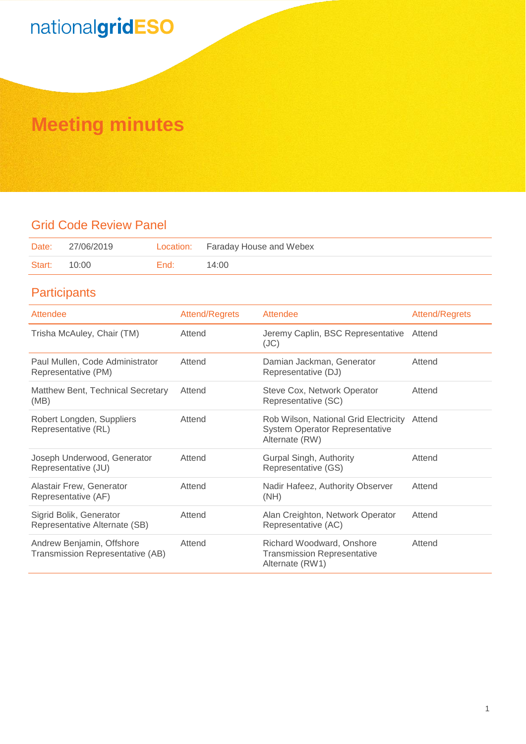## **Meeting minutes**

## Grid Code Review Panel

| Date:               | 27/06/2019 |      | Location: Faraday House and Webex |
|---------------------|------------|------|-----------------------------------|
| <b>Start: 10:00</b> |            | End: | 14:00                             |

## **Participants**

| Attendee                                                      | <b>Attend/Regrets</b> | Attendee                                                                                         | Attend/Regrets |
|---------------------------------------------------------------|-----------------------|--------------------------------------------------------------------------------------------------|----------------|
| Trisha McAuley, Chair (TM)                                    | Attend                | Jeremy Caplin, BSC Representative Attend<br>(JC)                                                 |                |
| Paul Mullen, Code Administrator<br>Representative (PM)        | Attend                | Damian Jackman, Generator<br>Representative (DJ)                                                 | Attend         |
| Matthew Bent, Technical Secretary<br>(MB)                     | Attend                | Steve Cox, Network Operator<br>Representative (SC)                                               | Attend         |
| Robert Longden, Suppliers<br>Representative (RL)              | Attend                | Rob Wilson, National Grid Electricity<br><b>System Operator Representative</b><br>Alternate (RW) | Attend         |
| Joseph Underwood, Generator<br>Representative (JU)            | Attend                | Gurpal Singh, Authority<br>Representative (GS)                                                   | Attend         |
| Alastair Frew, Generator<br>Representative (AF)               | Attend                | Nadir Hafeez, Authority Observer<br>(NH)                                                         | Attend         |
| Sigrid Bolik, Generator<br>Representative Alternate (SB)      | Attend                | Alan Creighton, Network Operator<br>Representative (AC)                                          | Attend         |
| Andrew Benjamin, Offshore<br>Transmission Representative (AB) | Attend                | Richard Woodward, Onshore<br><b>Transmission Representative</b><br>Alternate (RW1)               | Attend         |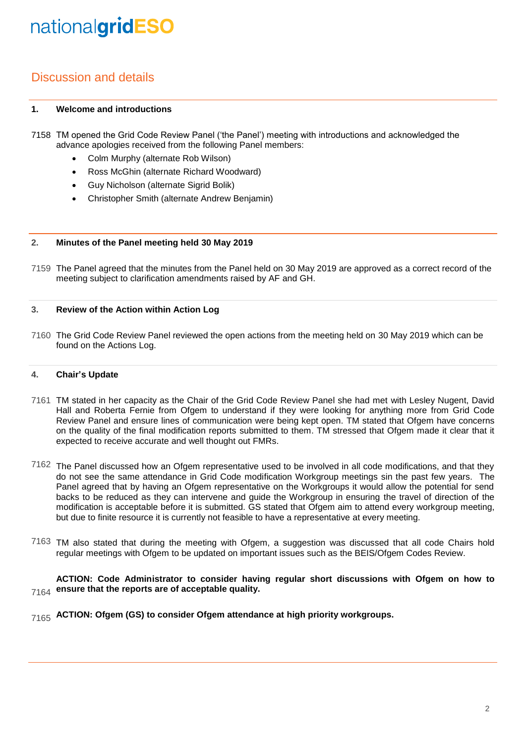## Discussion and details

## **1. Welcome and introductions**

- 7158 TM opened the Grid Code Review Panel ('the Panel') meeting with introductions and acknowledged the advance apologies received from the following Panel members:
	- Colm Murphy (alternate Rob Wilson)
	- Ross McGhin (alternate Richard Woodward)
	- Guy Nicholson (alternate Sigrid Bolik)
	- Christopher Smith (alternate Andrew Benjamin)

### **2. Minutes of the Panel meeting held 30 May 2019**

7159 The Panel agreed that the minutes from the Panel held on 30 May 2019 are approved as a correct record of the meeting subject to clarification amendments raised by AF and GH.

### **3. Review of the Action within Action Log**

7160 The Grid Code Review Panel reviewed the open actions from the meeting held on 30 May 2019 which can be found on the Actions Log.

#### **4. Chair's Update**

- 7161 TM stated in her capacity as the Chair of the Grid Code Review Panel she had met with Lesley Nugent, David Hall and Roberta Fernie from Ofgem to understand if they were looking for anything more from Grid Code Review Panel and ensure lines of communication were being kept open. TM stated that Ofgem have concerns on the quality of the final modification reports submitted to them. TM stressed that Ofgem made it clear that it expected to receive accurate and well thought out FMRs.
- $7162$  The Panel discussed how an Ofgem representative used to be involved in all code modifications, and that they do not see the same attendance in Grid Code modification Workgroup meetings sin the past few years. The Panel agreed that by having an Ofgem representative on the Workgroups it would allow the potential for send backs to be reduced as they can intervene and guide the Workgroup in ensuring the travel of direction of the modification is acceptable before it is submitted. GS stated that Ofgem aim to attend every workgroup meeting, but due to finite resource it is currently not feasible to have a representative at every meeting.
- 7163 TM also stated that during the meeting with Ofgem, a suggestion was discussed that all code Chairs hold regular meetings with Ofgem to be updated on important issues such as the BEIS/Ofgem Codes Review.

## 7164 **ACTION: Code Administrator to consider having regular short discussions with Ofgem on how to ensure that the reports are of acceptable quality.**

7165 **ACTION: Ofgem (GS) to consider Ofgem attendance at high priority workgroups.**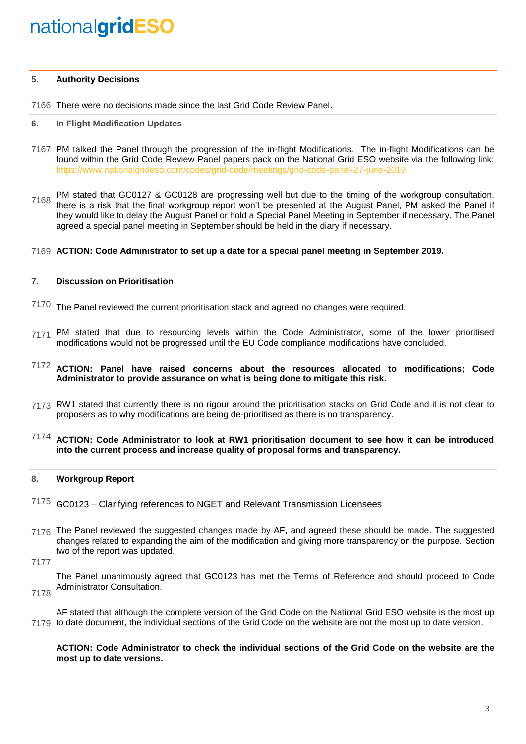### **5. Authority Decisions**

7166 There were no decisions made since the last Grid Code Review Panel**.**

#### **6. In Flight Modification Updates**

7167 PM talked the Panel through the progression of the in-flight Modifications. The in-flight Modifications can be found within the Grid Code Review Panel papers pack on the National Grid ESO website via the following link: <https://www.nationalgrideso.com/codes/grid-code/meetings/grid-code-panel-27-june-2019>

7168 PM stated that GC0127 & GC0128 are progressing well but due to the timing of the workgroup consultation, there is a risk that the final workgroup report won't be presented at the August Panel, PM asked the Panel if they would like to delay the August Panel or hold a Special Panel Meeting in September if necessary. The Panel agreed a special panel meeting in September should be held in the diary if necessary.

## 7169 **ACTION: Code Administrator to set up a date for a special panel meeting in September 2019.**

#### **7. Discussion on Prioritisation**

- $7170$  The Panel reviewed the current prioritisation stack and agreed no changes were required.
- 7171 PM stated that due to resourcing levels within the Code Administrator, some of the lower prioritised modifications would not be progressed until the EU Code compliance modifications have concluded.

## 7172 **ACTION: Panel have raised concerns about the resources allocated to modifications; Code Administrator to provide assurance on what is being done to mitigate this risk.**

7173 RW1 stated that currently there is no rigour around the prioritisation stacks on Grid Code and it is not clear to proposers as to why modifications are being de-prioritised as there is no transparency.

## 7174 **ACTION: Code Administrator to look at RW1 prioritisation document to see how it can be introduced into the current process and increase quality of proposal forms and transparency.**

### **8. Workgroup Report**

## 7175 GC0123 – Clarifying references to NGET and Relevant Transmission Licensees

7176 The Panel reviewed the suggested changes made by AF, and agreed these should be made. The suggested changes related to expanding the aim of the modification and giving more transparency on the purpose. Section two of the report was updated.

7177

The Panel unanimously agreed that GC0123 has met the Terms of Reference and should proceed to Code Administrator Consultation.

7178

7179 to date document, the individual sections of the Grid Code on the website are not the most up to date version. AF stated that although the complete version of the Grid Code on the National Grid ESO website is the most up

## **ACTION: Code Administrator to check the individual sections of the Grid Code on the website are the most up to date versions.**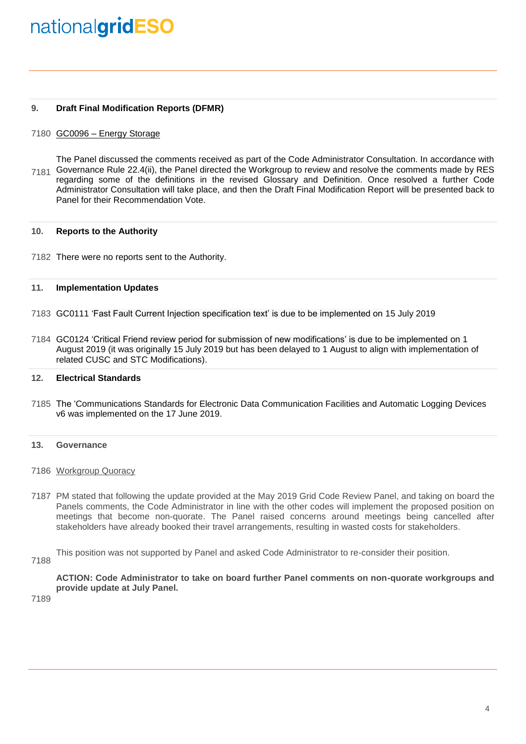### **9. Draft Final Modification Reports (DFMR)**

## 7180 GC0096 - Energy Storage

7181 Governance Rule 22.4(ii), the Panel directed the Workgroup to review and resolve the comments made by RES The Panel discussed the comments received as part of the Code Administrator Consultation. In accordance with regarding some of the definitions in the revised Glossary and Definition. Once resolved a further Code Administrator Consultation will take place, and then the Draft Final Modification Report will be presented back to Panel for their Recommendation Vote.

#### **10. Reports to the Authority**

7182 There were no reports sent to the Authority.

#### **11. Implementation Updates**

- 7183 GC0111 'Fast Fault Current Injection specification text' is due to be implemented on 15 July 2019
- 7184 GC0124 'Critical Friend review period for submission of new modifications' is due to be implemented on 1 August 2019 (it was originally 15 July 2019 but has been delayed to 1 August to align with implementation of related CUSC and STC Modifications).

#### **12. Electrical Standards**

7185 The 'Communications Standards for Electronic Data Communication Facilities and Automatic Logging Devices v6 was implemented on the 17 June 2019.

### **13. Governance**

- 7186 Workgroup Quoracy
- 7187 PM stated that following the update provided at the May 2019 Grid Code Review Panel, and taking on board the Panels comments, the Code Administrator in line with the other codes will implement the proposed position on meetings that become non-quorate. The Panel raised concerns around meetings being cancelled after stakeholders have already booked their travel arrangements, resulting in wasted costs for stakeholders.
- This position was not supported by Panel and asked Code Administrator to re-consider their position.
- 7188

**ACTION: Code Administrator to take on board further Panel comments on non-quorate workgroups and provide update at July Panel.**

7189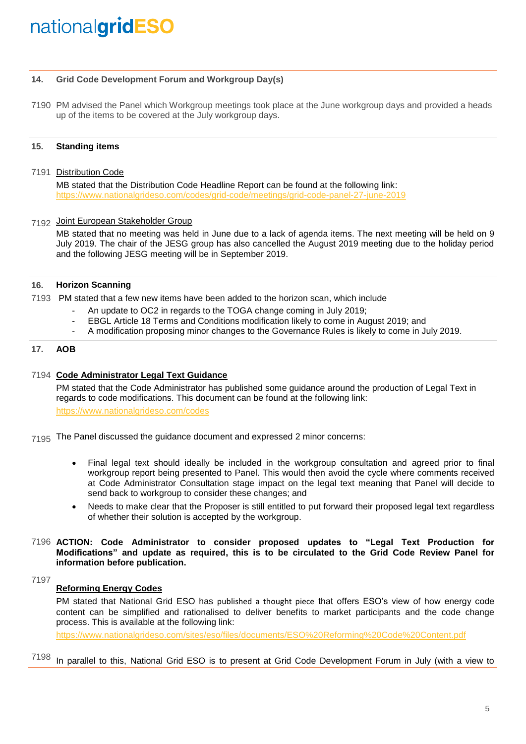### **14. Grid Code Development Forum and Workgroup Day(s)**

7190 PM advised the Panel which Workgroup meetings took place at the June workgroup days and provided a heads up of the items to be covered at the July workgroup days.

## **15. Standing items**

7191 Distribution Code

MB stated that the Distribution Code Headline Report can be found at the following link: <https://www.nationalgrideso.com/codes/grid-code/meetings/grid-code-panel-27-june-2019>

## 7192 Joint European Stakeholder Group

MB stated that no meeting was held in June due to a lack of agenda items. The next meeting will be held on 9 July 2019. The chair of the JESG group has also cancelled the August 2019 meeting due to the holiday period and the following JESG meeting will be in September 2019.

## **16. Horizon Scanning**

7193 PM stated that a few new items have been added to the horizon scan, which include

- An update to OC2 in regards to the TOGA change coming in July 2019;
- EBGL Article 18 Terms and Conditions modification likely to come in August 2019; and
- A modification proposing minor changes to the Governance Rules is likely to come in July 2019.

## **17. AOB**

## 7194 **Code Administrator Legal Text Guidance**

PM stated that the Code Administrator has published some guidance around the production of Legal Text in regards to code modifications. This document can be found at the following link: <https://www.nationalgrideso.com/codes>

 $7195$  The Panel discussed the guidance document and expressed 2 minor concerns:

- Final legal text should ideally be included in the workgroup consultation and agreed prior to final workgroup report being presented to Panel. This would then avoid the cycle where comments received at Code Administrator Consultation stage impact on the legal text meaning that Panel will decide to send back to workgroup to consider these changes; and
- Needs to make clear that the Proposer is still entitled to put forward their proposed legal text regardless of whether their solution is accepted by the workgroup.
- 7196 **ACTION: Code Administrator to consider proposed updates to "Legal Text Production for Modifications" and update as required, this is to be circulated to the Grid Code Review Panel for information before publication.**

7197

## **Reforming Energy Codes**

PM stated that National Grid ESO has published a thought piece that offers ESO's view of how energy code content can be simplified and rationalised to deliver benefits to market participants and the code change process. This is available at the following link:

<https://www.nationalgrideso.com/sites/eso/files/documents/ESO%20Reforming%20Code%20Content.pdf>

7198 In parallel to this, National Grid ESO is to present at Grid Code Development Forum in July (with a view to